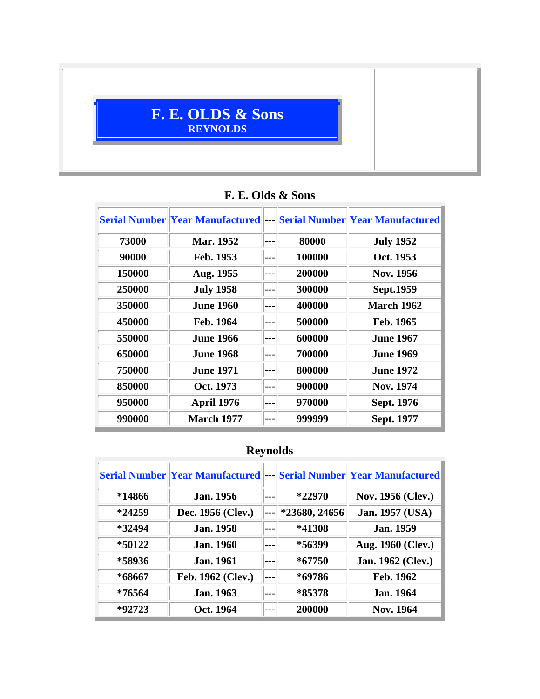## **F. E. OLDS & Sons REYNOLDS**

|        | <b>Serial Number Year Manufactured --- Serial Number Year Manufactured</b> |     |        |                   |
|--------|----------------------------------------------------------------------------|-----|--------|-------------------|
| 73000  | Mar. 1952                                                                  |     | 80000  | <b>July 1952</b>  |
| 90000  | Feb. 1953                                                                  |     | 100000 | Oct. 1953         |
| 150000 | Aug. 1955                                                                  |     | 200000 | Nov. 1956         |
| 250000 | <b>July 1958</b>                                                           |     | 300000 | Sept.1959         |
| 350000 | <b>June 1960</b>                                                           |     | 400000 | <b>March 1962</b> |
| 450000 | Feb. 1964                                                                  |     | 500000 | Feb. 1965         |
| 550000 | <b>June 1966</b>                                                           |     | 600000 | <b>June 1967</b>  |
| 650000 | <b>June 1968</b>                                                           |     | 700000 | <b>June 1969</b>  |
| 750000 | <b>June 1971</b>                                                           | --- | 800000 | <b>June 1972</b>  |
| 850000 | Oct. 1973                                                                  |     | 900000 | <b>Nov. 1974</b>  |
| 950000 | April 1976                                                                 |     | 970000 | Sept. 1976        |
| 990000 | <b>March 1977</b>                                                          |     | 999999 | Sept. 1977        |

### **F. E. Olds & Sons**

# **Reynolds**

|          | <b>Serial Number Year Manufactured</b> |               | <b>Serial Number Year Manufactured</b> |
|----------|----------------------------------------|---------------|----------------------------------------|
| *14866   | <b>Jan.</b> 1956                       | $*22970$      | <b>Nov. 1956 (Clev.)</b>               |
| $*24259$ | Dec. 1956 (Clev.)                      | *23680, 24656 | Jan. 1957 (USA)                        |
| *32494   | <b>Jan.</b> 1958                       | *41308        | <b>Jan.</b> 1959                       |
| *50122   | <b>Jan.</b> 1960                       | *56399        | Aug. 1960 (Clev.)                      |
| *58936   | <b>Jan.</b> 1961                       | $*67750$      | Jan. 1962 (Clev.)                      |
| *68667   | Feb. 1962 (Clev.)                      | *69786        | Feb. 1962                              |
| *76564   | <b>Jan. 1963</b>                       | *85378        | <b>Jan.</b> 1964                       |
| *92723   | Oct. 1964                              | 200000        | <b>Nov. 1964</b>                       |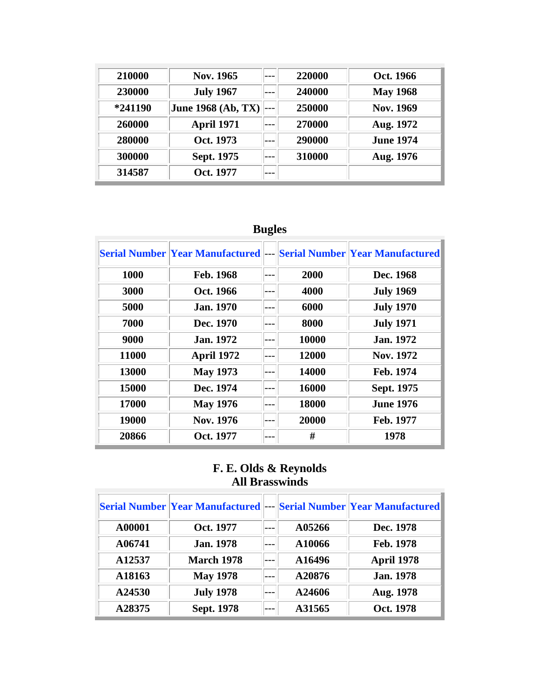| 210000  | Nov. 1965                 |       | 220000 | Oct. 1966        |
|---------|---------------------------|-------|--------|------------------|
| 230000  | <b>July 1967</b>          | $---$ | 240000 | <b>May 1968</b>  |
| *241190 | <b>June 1968 (Ab, TX)</b> |       | 250000 | <b>Nov. 1969</b> |
| 260000  | <b>April 1971</b>         |       | 270000 | Aug. 1972        |
| 280000  | Oct. 1973                 | $---$ | 290000 | June 1974.       |
| 300000  | Sept. 1975                |       | 310000 | Aug. 1976        |
| 314587  | Oct. 1977                 | ---   |        |                  |

## **Bugles**

|       | <b>Serial Number Year Manufactured</b> |       | <b>Serial Number Year Manufactured</b> |
|-------|----------------------------------------|-------|----------------------------------------|
| 1000  | Feb. 1968                              | 2000  | Dec. 1968                              |
| 3000  | Oct. 1966                              | 4000  | <b>July 1969</b>                       |
| 5000  | <b>Jan. 1970</b>                       | 6000  | <b>July 1970</b>                       |
| 7000  | Dec. 1970                              | 8000  | <b>July 1971</b>                       |
| 9000  | <b>Jan.</b> 1972                       | 10000 | Jan. 1972                              |
| 11000 | April 1972                             | 12000 | Nov. 1972                              |
| 13000 | <b>May 1973</b>                        | 14000 | Feb. 1974                              |
| 15000 | Dec. 1974                              | 16000 | Sept. 1975                             |
| 17000 | <b>May 1976</b>                        | 18000 | <b>June 1976</b>                       |
| 19000 | Nov. 1976                              | 20000 | Feb. 1977                              |
| 20866 | Oct. 1977                              | #     | 1978                                   |

#### **F. E. Olds & Reynolds All Brasswinds**

|        | <b>Serial Number Year Manufactured</b> |         |        | <b>Serial Number Year Manufactured</b> |
|--------|----------------------------------------|---------|--------|----------------------------------------|
| A00001 | Oct. 1977                              | $---$   | A05266 | Dec. 1978                              |
| A06741 | <b>Jan.</b> 1978                       |         | A10066 | Feb. 1978                              |
| A12537 | <b>March 1978</b>                      |         | A16496 | <b>April 1978</b>                      |
| A18163 | <b>May 1978</b>                        |         | A20876 | <b>Jan. 1978</b>                       |
| A24530 | <b>July 1978</b>                       | $---$   | A24606 | Aug. 1978                              |
| A28375 | Sept. 1978                             | $- - -$ | A31565 | Oct. 1978                              |